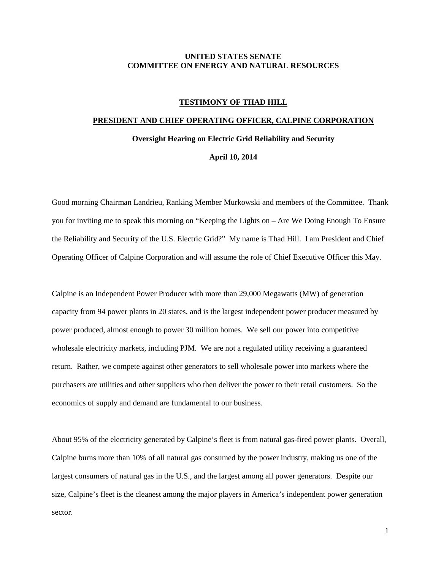## **UNITED STATES SENATE COMMITTEE ON ENERGY AND NATURAL RESOURCES**

## **TESTIMONY OF THAD HILL**

## **PRESIDENT AND CHIEF OPERATING OFFICER, CALPINE CORPORATION**

**Oversight Hearing on Electric Grid Reliability and Security**

## **April 10, 2014**

Good morning Chairman Landrieu, Ranking Member Murkowski and members of the Committee. Thank you for inviting me to speak this morning on "Keeping the Lights on – Are We Doing Enough To Ensure the Reliability and Security of the U.S. Electric Grid?" My name is Thad Hill. I am President and Chief Operating Officer of Calpine Corporation and will assume the role of Chief Executive Officer this May.

Calpine is an Independent Power Producer with more than 29,000 Megawatts (MW) of generation capacity from 94 power plants in 20 states, and is the largest independent power producer measured by power produced, almost enough to power 30 million homes. We sell our power into competitive wholesale electricity markets, including PJM. We are not a regulated utility receiving a guaranteed return. Rather, we compete against other generators to sell wholesale power into markets where the purchasers are utilities and other suppliers who then deliver the power to their retail customers. So the economics of supply and demand are fundamental to our business.

About 95% of the electricity generated by Calpine's fleet is from natural gas-fired power plants. Overall, Calpine burns more than 10% of all natural gas consumed by the power industry, making us one of the largest consumers of natural gas in the U.S., and the largest among all power generators. Despite our size, Calpine's fleet is the cleanest among the major players in America's independent power generation sector.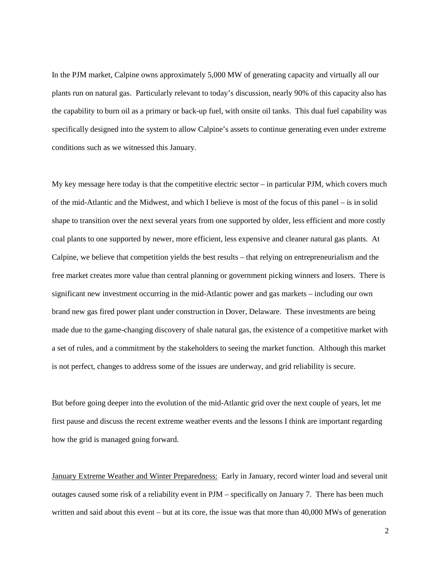In the PJM market, Calpine owns approximately 5,000 MW of generating capacity and virtually all our plants run on natural gas. Particularly relevant to today's discussion, nearly 90% of this capacity also has the capability to burn oil as a primary or back-up fuel, with onsite oil tanks. This dual fuel capability was specifically designed into the system to allow Calpine's assets to continue generating even under extreme conditions such as we witnessed this January.

My key message here today is that the competitive electric sector – in particular PJM, which covers much of the mid-Atlantic and the Midwest, and which I believe is most of the focus of this panel – is in solid shape to transition over the next several years from one supported by older, less efficient and more costly coal plants to one supported by newer, more efficient, less expensive and cleaner natural gas plants. At Calpine, we believe that competition yields the best results – that relying on entrepreneurialism and the free market creates more value than central planning or government picking winners and losers. There is significant new investment occurring in the mid-Atlantic power and gas markets – including our own brand new gas fired power plant under construction in Dover, Delaware. These investments are being made due to the game-changing discovery of shale natural gas, the existence of a competitive market with a set of rules, and a commitment by the stakeholders to seeing the market function. Although this market is not perfect, changes to address some of the issues are underway, and grid reliability is secure.

But before going deeper into the evolution of the mid-Atlantic grid over the next couple of years, let me first pause and discuss the recent extreme weather events and the lessons I think are important regarding how the grid is managed going forward.

January Extreme Weather and Winter Preparedness: Early in January, record winter load and several unit outages caused some risk of a reliability event in PJM – specifically on January 7. There has been much written and said about this event – but at its core, the issue was that more than 40,000 MWs of generation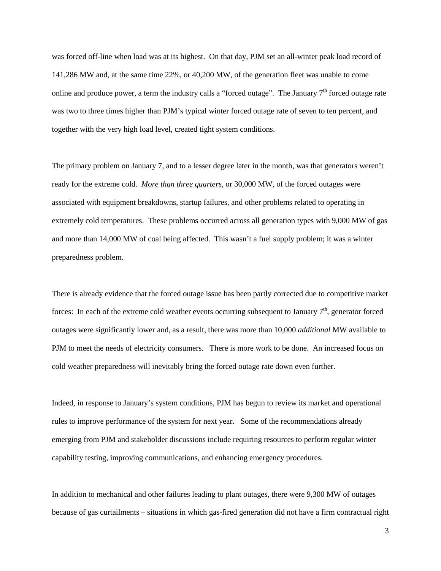was forced off-line when load was at its highest. On that day, PJM set an all-winter peak load record of 141,286 MW and, at the same time 22%, or 40,200 MW, of the generation fleet was unable to come online and produce power, a term the industry calls a "forced outage". The January  $7<sup>th</sup>$  forced outage rate was two to three times higher than PJM's typical winter forced outage rate of seven to ten percent, and together with the very high load level, created tight system conditions.

The primary problem on January 7, and to a lesser degree later in the month, was that generators weren't ready for the extreme cold. *More than three quarters,* or 30,000 MW, of the forced outages were associated with equipment breakdowns, startup failures, and other problems related to operating in extremely cold temperatures. These problems occurred across all generation types with 9,000 MW of gas and more than 14,000 MW of coal being affected. This wasn't a fuel supply problem; it was a winter preparedness problem.

There is already evidence that the forced outage issue has been partly corrected due to competitive market forces: In each of the extreme cold weather events occurring subsequent to January  $7<sup>th</sup>$ , generator forced outages were significantly lower and, as a result, there was more than 10,000 *additional* MW available to PJM to meet the needs of electricity consumers. There is more work to be done. An increased focus on cold weather preparedness will inevitably bring the forced outage rate down even further.

Indeed, in response to January's system conditions, PJM has begun to review its market and operational rules to improve performance of the system for next year. Some of the recommendations already emerging from PJM and stakeholder discussions include requiring resources to perform regular winter capability testing, improving communications, and enhancing emergency procedures.

In addition to mechanical and other failures leading to plant outages, there were 9,300 MW of outages because of gas curtailments – situations in which gas-fired generation did not have a firm contractual right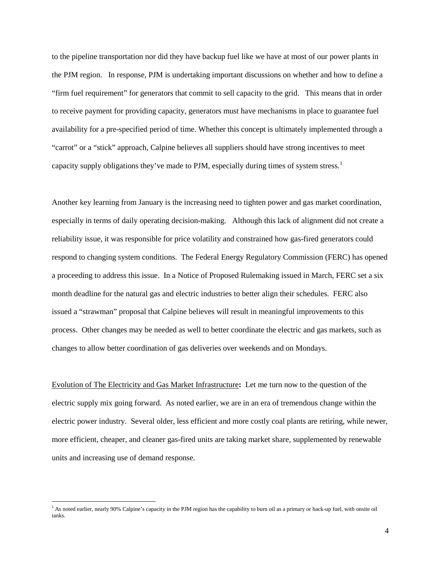to the pipeline transportation nor did they have backup fuel like we have at most of our power plants in the PJM region. In response, PJM is undertaking important discussions on whether and how to define a "firm fuel requirement" for generators that commit to sell capacity to the grid. This means that in order to receive payment for providing capacity, generators must have mechanisms in place to guarantee fuel availability for a pre-specified period of time. Whether this concept is ultimately implemented through a "carrot" or a "stick" approach, Calpine believes all suppliers should have strong incentives to meet capacity supply obligations they've made to PJM, especially during times of system stress.<sup>[1](#page-3-0)</sup>

Another key learning from January is the increasing need to tighten power and gas market coordination, especially in terms of daily operating decision-making. Although this lack of alignment did not create a reliability issue, it was responsible for price volatility and constrained how gas-fired generators could respond to changing system conditions. The Federal Energy Regulatory Commission (FERC) has opened a proceeding to address this issue. In a Notice of Proposed Rulemaking issued in March, FERC set a six month deadline for the natural gas and electric industries to better align their schedules. FERC also issued a "strawman" proposal that Calpine believes will result in meaningful improvements to this process. Other changes may be needed as well to better coordinate the electric and gas markets, such as changes to allow better coordination of gas deliveries over weekends and on Mondays.

Evolution of The Electricity and Gas Market Infrastructure**:** Let me turn now to the question of the electric supply mix going forward. As noted earlier, we are in an era of tremendous change within the electric power industry. Several older, less efficient and more costly coal plants are retiring, while newer, more efficient, cheaper, and cleaner gas-fired units are taking market share, supplemented by renewable units and increasing use of demand response.

<span id="page-3-0"></span> $<sup>1</sup>$  As noted earlier, nearly 90% Calpine's capacity in the PJM region has the capability to burn oil as a primary or back-up fuel, with onsite oil</sup> tanks.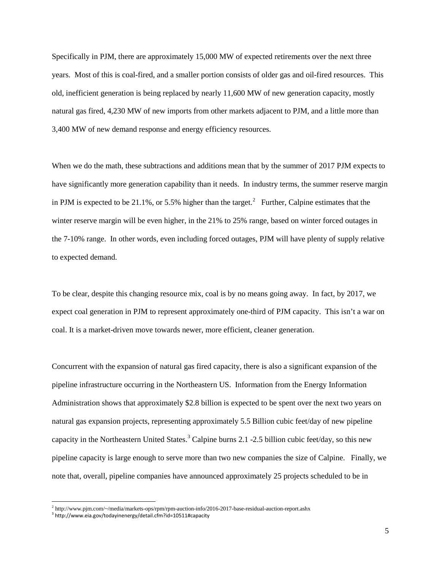Specifically in PJM, there are approximately 15,000 MW of expected retirements over the next three years. Most of this is coal-fired, and a smaller portion consists of older gas and oil-fired resources. This old, inefficient generation is being replaced by nearly 11,600 MW of new generation capacity, mostly natural gas fired, 4,230 MW of new imports from other markets adjacent to PJM, and a little more than 3,400 MW of new demand response and energy efficiency resources.

When we do the math, these subtractions and additions mean that by the summer of 2017 PJM expects to have significantly more generation capability than it needs. In industry terms, the summer reserve margin in PJM is expected to be [2](#page-4-0)1.1%, or 5.5% higher than the target.<sup>2</sup> Further, Calpine estimates that the winter reserve margin will be even higher, in the 21% to 25% range, based on winter forced outages in the 7-10% range. In other words, even including forced outages, PJM will have plenty of supply relative to expected demand.

To be clear, despite this changing resource mix, coal is by no means going away. In fact, by 2017, we expect coal generation in PJM to represent approximately one-third of PJM capacity. This isn't a war on coal. It is a market-driven move towards newer, more efficient, cleaner generation.

Concurrent with the expansion of natural gas fired capacity, there is also a significant expansion of the pipeline infrastructure occurring in the Northeastern US. Information from the Energy Information Administration shows that approximately \$2.8 billion is expected to be spent over the next two years on natural gas expansion projects, representing approximately 5.5 Billion cubic feet/day of new pipeline capacity in the Northeastern United States.<sup>[3](#page-4-1)</sup> Calpine burns 2.1 -2.5 billion cubic feet/day, so this new pipeline capacity is large enough to serve more than two new companies the size of Calpine. Finally, we note that, overall, pipeline companies have announced approximately 25 projects scheduled to be in

l

<span id="page-4-0"></span> $^2$  http://www.pjm.com/~/media/markets-ops/rpm/rpm-auction-info/2016-2017-base-residual-auction-report.ashx  $^3$  http://www.eia.gov/todayinenergy/detail.cfm?id=10511#capacity

<span id="page-4-1"></span>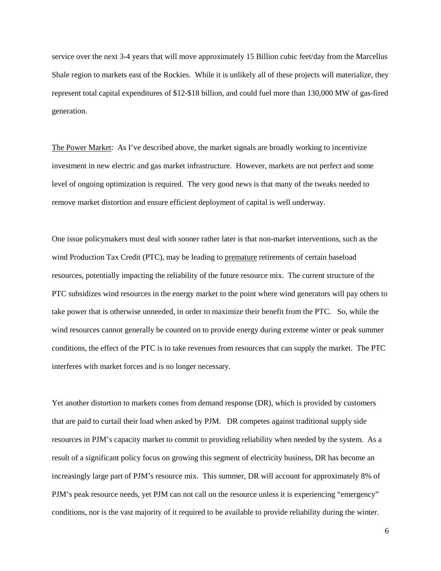service over the next 3-4 years that will move approximately 15 Billion cubic feet/day from the Marcellus Shale region to markets east of the Rockies. While it is unlikely all of these projects will materialize, they represent total capital expenditures of \$12-\$18 billion, and could fuel more than 130,000 MW of gas-fired generation.

The Power Market: As I've described above, the market signals are broadly working to incentivize investment in new electric and gas market infrastructure. However, markets are not perfect and some level of ongoing optimization is required. The very good news is that many of the tweaks needed to remove market distortion and ensure efficient deployment of capital is well underway.

One issue policymakers must deal with sooner rather later is that non-market interventions, such as the wind Production Tax Credit (PTC), may be leading to premature retirements of certain baseload resources, potentially impacting the reliability of the future resource mix. The current structure of the PTC subsidizes wind resources in the energy market to the point where wind generators will pay others to take power that is otherwise unneeded, in order to maximize their benefit from the PTC. So, while the wind resources cannot generally be counted on to provide energy during extreme winter or peak summer conditions, the effect of the PTC is to take revenues from resources that can supply the market. The PTC interferes with market forces and is no longer necessary.

Yet another distortion to markets comes from demand response (DR), which is provided by customers that are paid to curtail their load when asked by PJM. DR competes against traditional supply side resources in PJM's capacity market to commit to providing reliability when needed by the system. As a result of a significant policy focus on growing this segment of electricity business, DR has become an increasingly large part of PJM's resource mix. This summer, DR will account for approximately 8% of PJM's peak resource needs, yet PJM can not call on the resource unless it is experiencing "emergency" conditions, nor is the vast majority of it required to be available to provide reliability during the winter.